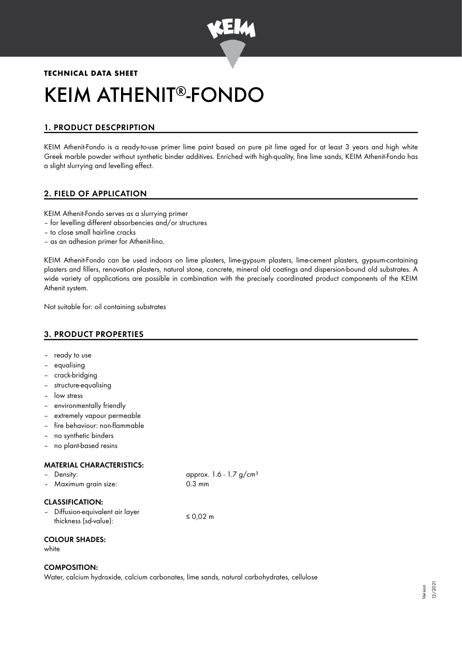

# **TECHNICAL DATA SHEET** KEIM ATHENIT®-FONDO

# 1. PRODUCT DESCPRIPTION

KEIM Athenit-Fondo is a ready-to-use primer lime paint based on pure pit lime aged for at least 3 years and high white Greek marble powder without synthetic binder additives. Enriched with high-quality, fine lime sands, KEIM Athenit-Fondo has a slight slurrying and levelling effect.

# 2. FIELD OF APPLICATION

KEIM Athenit-Fondo serves as a slurrying primer

- for levelling different absorbencies and/or structures
- to close small hairline cracks
- as an adhesion primer for Athenit-fino.

KEIM Athenit-Fondo can be used indoors on lime plasters, lime-gypsum plasters, lime-cement plasters, gypsum-containing plasters and fillers, renovation plasters, natural stone, concrete, mineral old coatings and dispersion-bound old substrates. A wide variety of applications are possible in combination with the precisely coordinated product components of the KEIM Athenit system.

 $1.7 g/cm<sup>3</sup>$ 

Not suitable for: oil containing substrates

# 3. PRODUCT PROPERTIES

- ready to use
- equalising
- crack-bridging
- structure-equalising
- low stress
- environmentally friendly
- extremely vapour permeable
- fire behaviour: non-flammable
- no synthetic binders
- no plant-based resins

#### MATERIAL CHARACTERISTICS:

| - Density:            | approx. 1.6 -    |
|-----------------------|------------------|
| - Maximum grain size: | $0.3 \text{ mm}$ |
|                       |                  |

### CLASSIFICATION:

| - Diffusion-equivalent air layer | ≤ 0,02 m |
|----------------------------------|----------|
| thickness (sd-value):            |          |

### COLOUR SHADES:

white

## COMPOSITION:

Water, calcium hydroxide, calcium carbonates, lime sands, natural carbohydrates, cellulose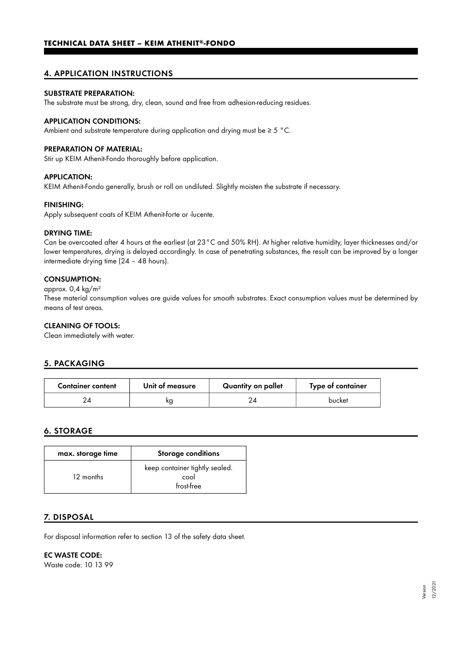# 4. APPLICATION INSTRUCTIONS

## SUBSTRATE PREPARATION:

The substrate must be strong, dry, clean, sound and free from adhesion-reducing residues.

#### APPLICATION CONDITIONS:

Ambient and substrate temperature during application and drying must be  $\geq 5$  °C.

#### PREPARATION OF MATERIAL:

Stir up KEIM Athenit-Fondo thoroughly before application.

## APPLICATION:

KEIM Athenit-Fondo generally, brush or roll on undiluted. Slightly moisten the substrate if necessary.

#### FINISHING:

Apply subsequent coats of KEIM Athenit-forte or -lucente.

#### DRYING TIME:

Can be overcoated after 4 hours at the earliest (at 23°C and 50% RH). At higher relative humidity, layer thicknesses and/or lower temperatures, drying is delayed accordingly. In case of penetrating substances, the result can be improved by a longer intermediate drying time (24 – 48 hours).

## CONSUMPTION:

## approx. 0,4 kg/m²

These material consumption values are guide values for smooth substrates. Exact consumption values must be determined by means of test areas.

## CLEANING OF TOOLS:

Clean immediately with water.

# 5. PACKAGING

| <b>Container content</b> | Unit of measure | Quantity on pallet | Type of container |
|--------------------------|-----------------|--------------------|-------------------|
|                          | ĸg              |                    | bucket            |

# 6. STORAGE

| max. storage time | <b>Storage conditions</b>                            |
|-------------------|------------------------------------------------------|
| 12 months         | keep container tightly sealed.<br>cool<br>frost-free |

## 7. DISPOSAL

For disposal information refer to section 13 of the safety data sheet.

EC WASTE CODE:

Waste code: 10 13 99